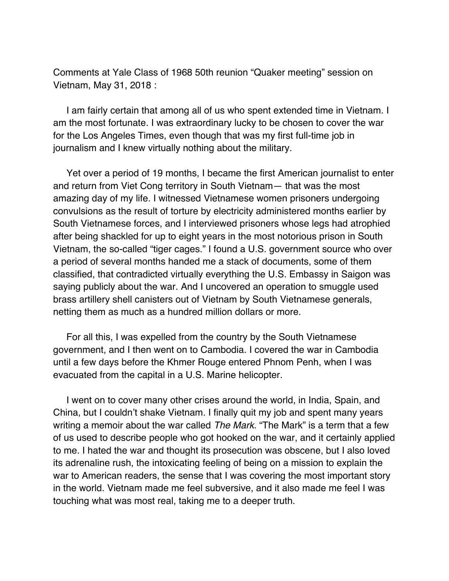Comments at Yale Class of 1968 50th reunion "Quaker meeting" session on Vietnam, May 31, 2018 :

I am fairly certain that among all of us who spent extended time in Vietnam. I am the most fortunate. I was extraordinary lucky to be chosen to cover the war for the Los Angeles Times, even though that was my first full-time job in journalism and I knew virtually nothing about the military.

Yet over a period of 19 months, I became the first American journalist to enter and return from Viet Cong territory in South Vietnam— that was the most amazing day of my life. I witnessed Vietnamese women prisoners undergoing convulsions as the result of torture by electricity administered months earlier by South Vietnamese forces, and I interviewed prisoners whose legs had atrophied after being shackled for up to eight years in the most notorious prison in South Vietnam, the so-called "tiger cages." I found a U.S. government source who over a period of several months handed me a stack of documents, some of them classified, that contradicted virtually everything the U.S. Embassy in Saigon was saying publicly about the war. And I uncovered an operation to smuggle used brass artillery shell canisters out of Vietnam by South Vietnamese generals, netting them as much as a hundred million dollars or more.

For all this, I was expelled from the country by the South Vietnamese government, and I then went on to Cambodia. I covered the war in Cambodia until a few days before the Khmer Rouge entered Phnom Penh, when I was evacuated from the capital in a U.S. Marine helicopter.

I went on to cover many other crises around the world, in India, Spain, and China, but I couldn't shake Vietnam. I finally quit my job and spent many years writing a memoir about the war called *The Mark*. "The Mark" is a term that a few of us used to describe people who got hooked on the war, and it certainly applied to me. I hated the war and thought its prosecution was obscene, but I also loved its adrenaline rush, the intoxicating feeling of being on a mission to explain the war to American readers, the sense that I was covering the most important story in the world. Vietnam made me feel subversive, and it also made me feel I was touching what was most real, taking me to a deeper truth.